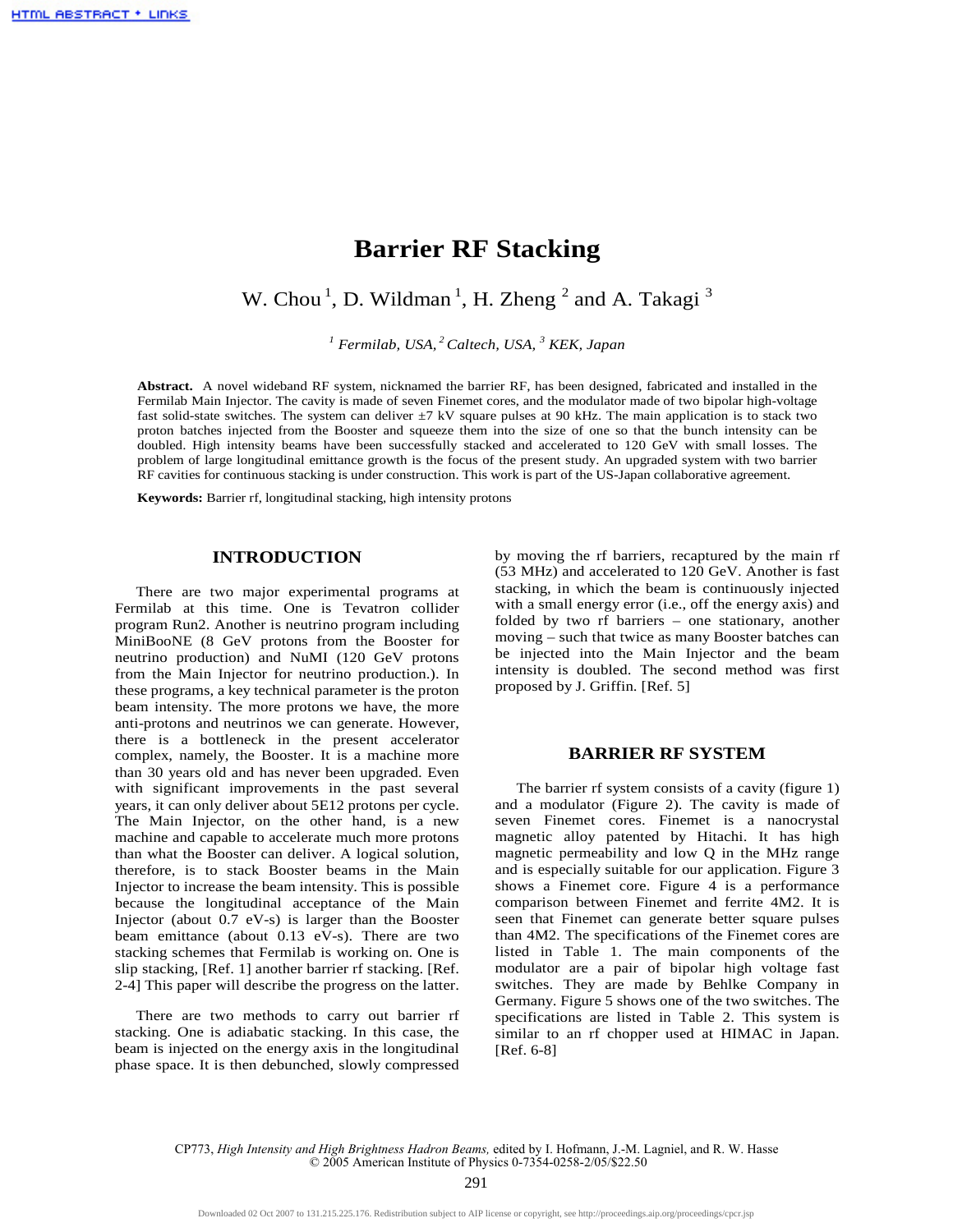# **Barrier RF Stacking**

W. Chou<sup>1</sup>, D. Wildman<sup>1</sup>, H. Zheng<sup>2</sup> and A. Takagi<sup>3</sup>

*1 Fermilab, USA,<sup>2</sup>Caltech, USA, <sup>3</sup> KEK, Japan* 

**Abstract.** A novel wideband RF system, nicknamed the barrier RF, has been designed, fabricated and installed in the Fermilab Main Injector. The cavity is made of seven Finemet cores, and the modulator made of two bipolar high-voltage fast solid-state switches. The system can deliver  $\pm$ 7 kV square pulses at 90 kHz. The main application is to stack two proton batches injected from the Booster and squeeze them into the size of one so that the bunch intensity can be doubled. High intensity beams have been successfully stacked and accelerated to 120 GeV with small losses. The problem of large longitudinal emittance growth is the focus of the present study. An upgraded system with two barrier RF cavities for continuous stacking is under construction. This work is part of the US-Japan collaborative agreement.

**Keywords:** Barrier rf, longitudinal stacking, high intensity protons

## **INTRODUCTION**

There are two major experimental programs at Fermilab at this time. One is Tevatron collider program Run2. Another is neutrino program including MiniBooNE (8 GeV protons from the Booster for neutrino production) and NuMI (120 GeV protons from the Main Injector for neutrino production.). In these programs, a key technical parameter is the proton beam intensity. The more protons we have, the more anti-protons and neutrinos we can generate. However, there is a bottleneck in the present accelerator complex, namely, the Booster. It is a machine more than 30 years old and has never been upgraded. Even with significant improvements in the past several years, it can only deliver about 5E12 protons per cycle. The Main Injector, on the other hand, is a new machine and capable to accelerate much more protons than what the Booster can deliver. A logical solution, therefore, is to stack Booster beams in the Main Injector to increase the beam intensity. This is possible because the longitudinal acceptance of the Main Injector (about 0.7 eV-s) is larger than the Booster beam emittance (about 0.13 eV-s). There are two stacking schemes that Fermilab is working on. One is slip stacking, [Ref. 1] another barrier rf stacking. [Ref. 2-4] This paper will describe the progress on the latter.

There are two methods to carry out barrier rf stacking. One is adiabatic stacking. In this case, the beam is injected on the energy axis in the longitudinal phase space. It is then debunched, slowly compressed by moving the rf barriers, recaptured by the main rf (53 MHz) and accelerated to 120 GeV. Another is fast stacking, in which the beam is continuously injected with a small energy error (i.e., off the energy axis) and folded by two rf barriers – one stationary, another moving – such that twice as many Booster batches can be injected into the Main Injector and the beam intensity is doubled. The second method was first proposed by J. Griffin. [Ref. 5]

## **BARRIER RF SYSTEM**

The barrier rf system consists of a cavity (figure 1) and a modulator (Figure 2). The cavity is made of seven Finemet cores. Finemet is a nanocrystal magnetic alloy patented by Hitachi. It has high magnetic permeability and low Q in the MHz range and is especially suitable for our application. Figure 3 shows a Finemet core. Figure 4 is a performance comparison between Finemet and ferrite 4M2. It is seen that Finemet can generate better square pulses than 4M2. The specifications of the Finemet cores are listed in Table 1. The main components of the modulator are a pair of bipolar high voltage fast switches. They are made by Behlke Company in Germany. Figure 5 shows one of the two switches. The specifications are listed in Table 2. This system is similar to an rf chopper used at HIMAC in Japan. [Ref. 6-8]

CP773, *High Intensity and High Brightness Hadron Beams,* edited by I. Hofmann, J.-M. Lagniel, and R. W. Hasse © 2005 American Institute of Physics 0-7354-0258-2/05/\$22.50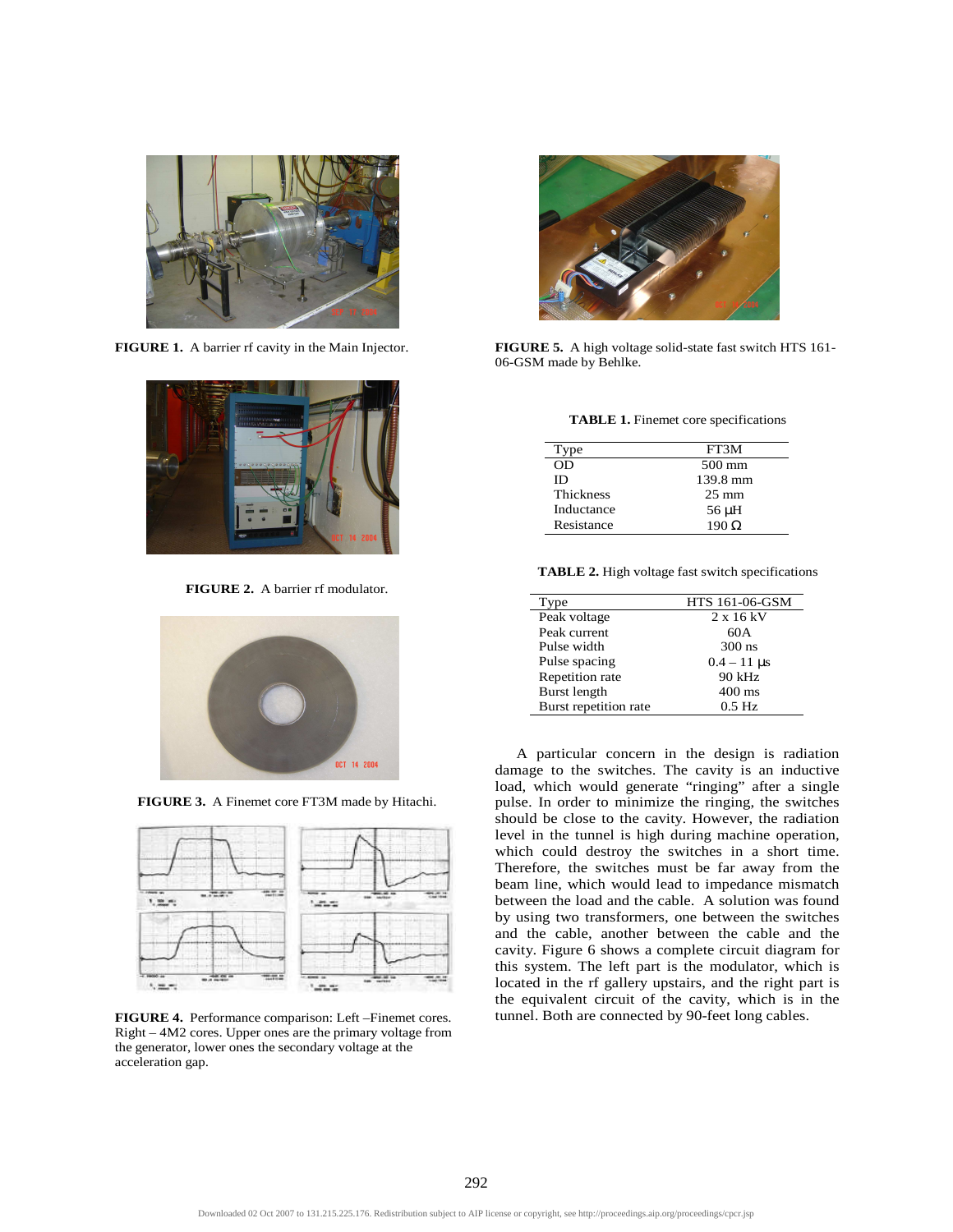

**FIGURE 1.** A barrier rf cavity in the Main Injector.



**FIGURE 2.** A barrier rf modulator.







**FIGURE 4.** Performance comparison: Left –Finemet cores. Right – 4M2 cores. Upper ones are the primary voltage from the generator, lower ones the secondary voltage at the acceleration gap.



**FIGURE 5.** A high voltage solid-state fast switch HTS 161- 06-GSM made by Behlke.

**TABLE 1.** Finemet core specifications

| Tvpe             | FT3M            |
|------------------|-----------------|
| OD               | 500 mm          |
| ID               | 139.8 mm        |
| <b>Thickness</b> | $25 \text{ mm}$ |
| Inductance       | 56 µH           |
| Resistance       | $190 \Omega$    |

**TABLE 2.** High voltage fast switch specifications

| Type                  | <b>HTS 161-06-GSM</b> |
|-----------------------|-----------------------|
| Peak voltage          | 2 x 16 kV             |
| Peak current          | 60A                   |
| Pulse width           | $300$ ns              |
| Pulse spacing         | $0.4 - 11 \,\mu s$    |
| Repetition rate       | $90$ kHz              |
| Burst length          | $400 \text{ ms}$      |
| Burst repetition rate | $0.5$ Hz              |

A particular concern in the design is radiation damage to the switches. The cavity is an inductive load, which would generate "ringing" after a single pulse. In order to minimize the ringing, the switches should be close to the cavity. However, the radiation level in the tunnel is high during machine operation, which could destroy the switches in a short time. Therefore, the switches must be far away from the beam line, which would lead to impedance mismatch between the load and the cable. A solution was found by using two transformers, one between the switches and the cable, another between the cable and the cavity. Figure 6 shows a complete circuit diagram for this system. The left part is the modulator, which is located in the rf gallery upstairs, and the right part is the equivalent circuit of the cavity, which is in the tunnel. Both are connected by 90-feet long cables.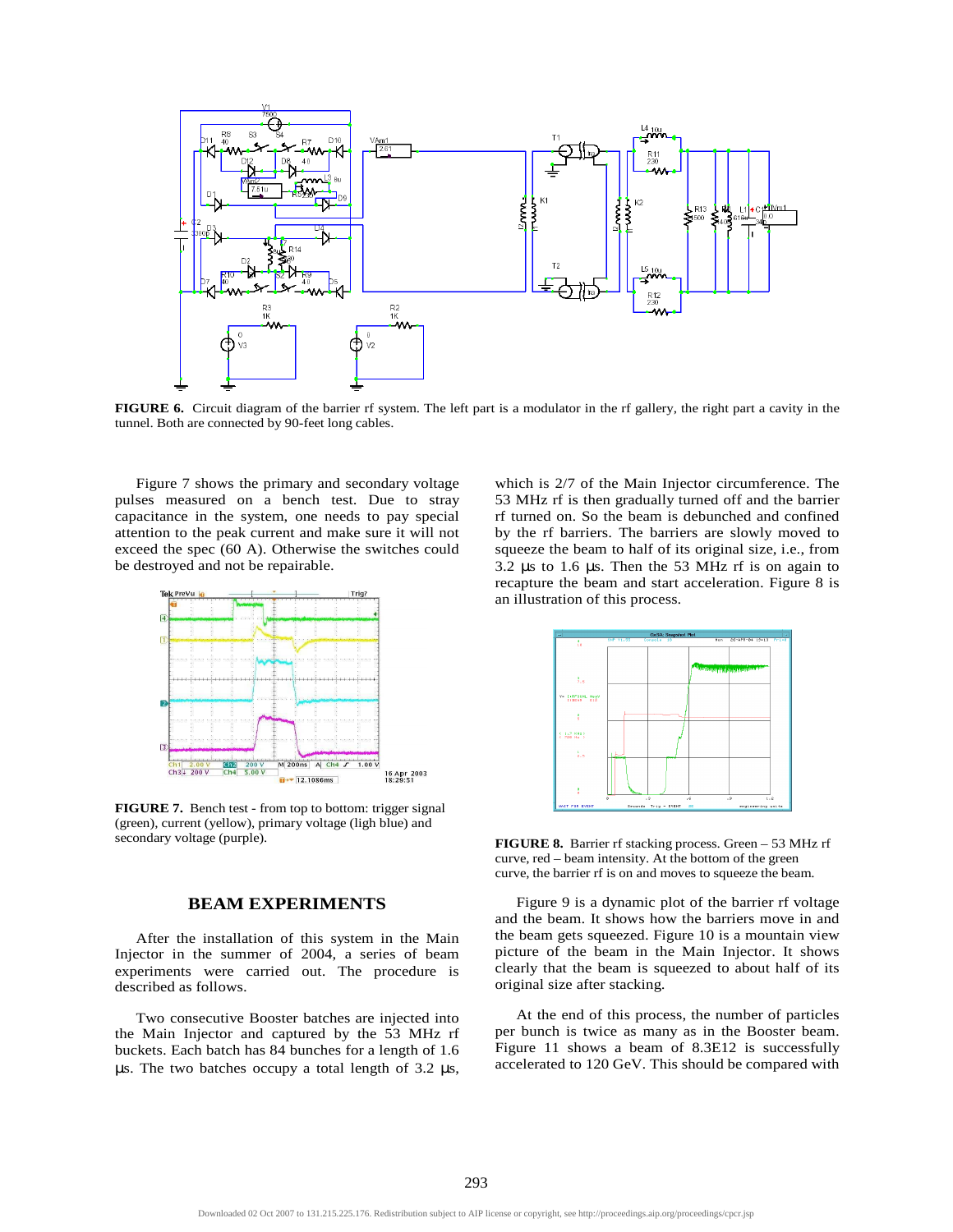

**FIGURE 6.** Circuit diagram of the barrier rf system. The left part is a modulator in the rf gallery, the right part a cavity in the tunnel. Both are connected by 90-feet long cables.

Figure 7 shows the primary and secondary voltage pulses measured on a bench test. Due to stray capacitance in the system, one needs to pay special attention to the peak current and make sure it will not exceed the spec (60 A). Otherwise the switches could be destroyed and not be repairable.



**FIGURE 7.** Bench test - from top to bottom: trigger signal (green), current (yellow), primary voltage (ligh blue) and secondary voltage (purple).

#### **BEAM EXPERIMENTS**

After the installation of this system in the Main Injector in the summer of 2004, a series of beam experiments were carried out. The procedure is described as follows.

Two consecutive Booster batches are injected into the Main Injector and captured by the 53 MHz rf buckets. Each batch has 84 bunches for a length of 1.6 µs. The two batches occupy a total length of 3.2 µs, which is 2/7 of the Main Injector circumference. The 53 MHz rf is then gradually turned off and the barrier rf turned on. So the beam is debunched and confined by the rf barriers. The barriers are slowly moved to squeeze the beam to half of its original size, i.e., from 3.2  $\mu$ s to 1.6  $\mu$ s. Then the 53 MHz rf is on again to recapture the beam and start acceleration. Figure 8 is an illustration of this process.



**FIGURE 8.** Barrier rf stacking process. Green – 53 MHz rf curve, red – beam intensity. At the bottom of the green curve, the barrier rf is on and moves to squeeze the beam.

Figure 9 is a dynamic plot of the barrier rf voltage and the beam. It shows how the barriers move in and the beam gets squeezed. Figure 10 is a mountain view picture of the beam in the Main Injector. It shows clearly that the beam is squeezed to about half of its original size after stacking.

At the end of this process, the number of particles per bunch is twice as many as in the Booster beam. Figure 11 shows a beam of 8.3E12 is successfully accelerated to 120 GeV. This should be compared with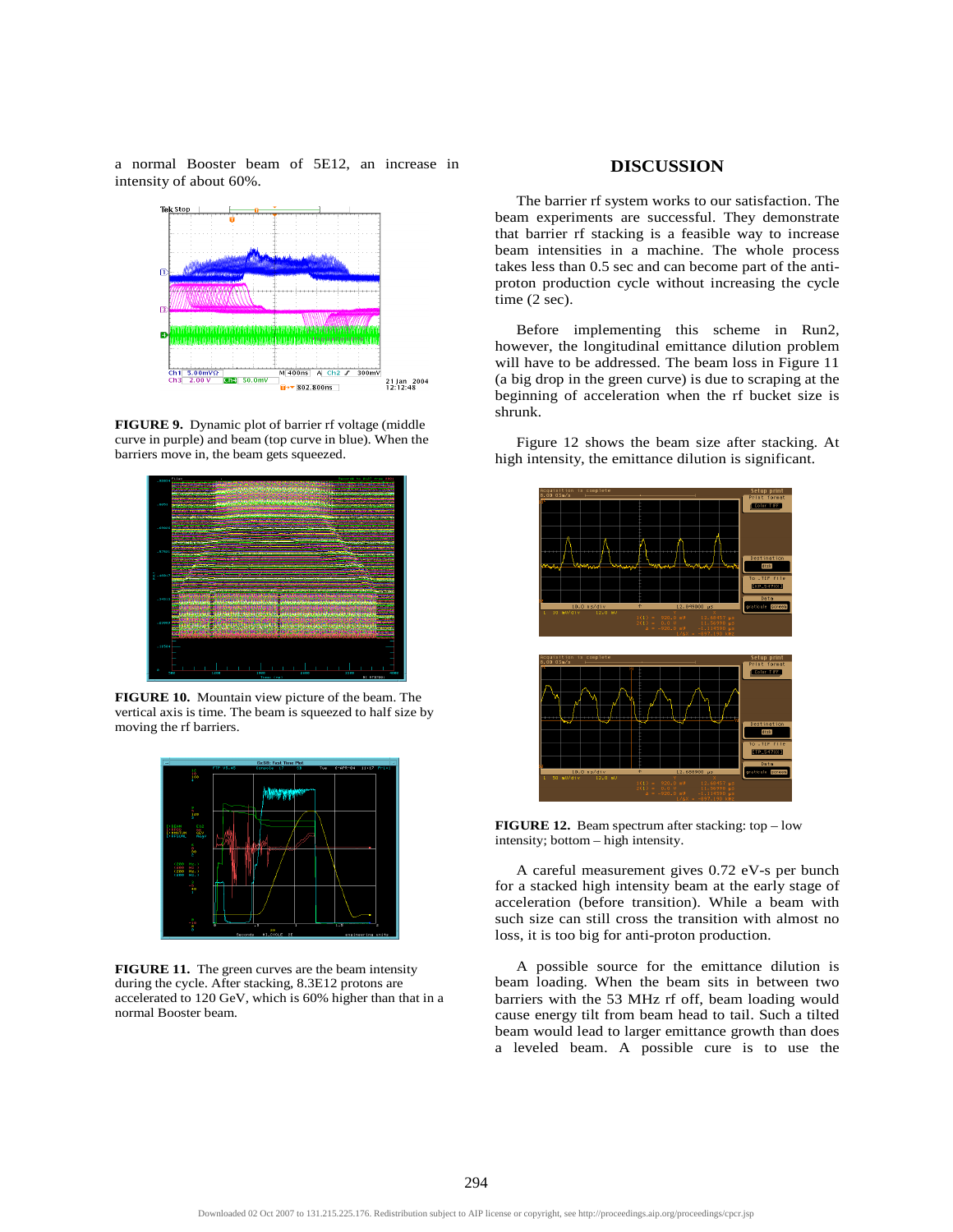a normal Booster beam of 5E12, an increase in intensity of about 60%.



**FIGURE 9.** Dynamic plot of barrier rf voltage (middle curve in purple) and beam (top curve in blue). When the barriers move in, the beam gets squeezed.



**FIGURE 10.** Mountain view picture of the beam. The vertical axis is time. The beam is squeezed to half size by moving the rf barriers.



**FIGURE 11.** The green curves are the beam intensity during the cycle. After stacking, 8.3E12 protons are accelerated to 120 GeV, which is 60% higher than that in a normal Booster beam.

# **DISCUSSION**

The barrier rf system works to our satisfaction. The beam experiments are successful. They demonstrate that barrier rf stacking is a feasible way to increase beam intensities in a machine. The whole process takes less than 0.5 sec and can become part of the antiproton production cycle without increasing the cycle time  $(2 sec)$ .

Before implementing this scheme in Run2, however, the longitudinal emittance dilution problem will have to be addressed. The beam loss in Figure 11 (a big drop in the green curve) is due to scraping at the beginning of acceleration when the rf bucket size is shrunk.

Figure 12 shows the beam size after stacking. At high intensity, the emittance dilution is significant.



**FIGURE 12.** Beam spectrum after stacking: top – low intensity; bottom – high intensity.

A careful measurement gives 0.72 eV-s per bunch for a stacked high intensity beam at the early stage of acceleration (before transition). While a beam with such size can still cross the transition with almost no loss, it is too big for anti-proton production.

A possible source for the emittance dilution is beam loading. When the beam sits in between two barriers with the 53 MHz rf off, beam loading would cause energy tilt from beam head to tail. Such a tilted beam would lead to larger emittance growth than does a leveled beam. A possible cure is to use the